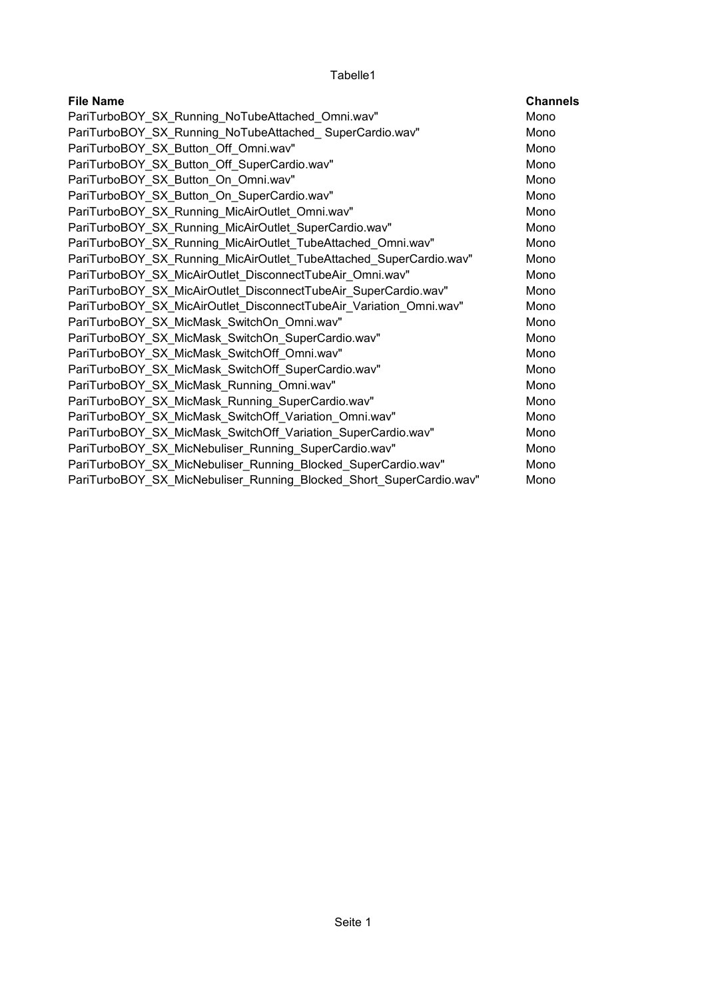| <b>File Name</b>                                                    | <b>Channels</b> |
|---------------------------------------------------------------------|-----------------|
| PariTurboBOY SX Running NoTubeAttached Omni.wav"                    | Mono            |
| PariTurboBOY SX Running NoTubeAttached SuperCardio.wav"             | Mono            |
| PariTurboBOY_SX_Button_Off_Omni.wav"                                | Mono            |
| PariTurboBOY_SX_Button_Off_SuperCardio.wav"                         | Mono            |
| PariTurboBOY SX Button On Omni.wav"                                 | Mono            |
| PariTurboBOY SX Button On SuperCardio.wav"                          | Mono            |
| PariTurboBOY_SX_Running_MicAirOutlet_Omni.wav"                      | Mono            |
| PariTurboBOY_SX_Running_MicAirOutlet_SuperCardio.wav"               | Mono            |
| PariTurboBOY_SX_Running_MicAirOutlet_TubeAttached_Omni.wav"         | Mono            |
| PariTurboBOY_SX_Running_MicAirOutlet_TubeAttached_SuperCardio.wav"  | Mono            |
| PariTurboBOY SX MicAirOutlet DisconnectTubeAir Omni.wav"            | Mono            |
| PariTurboBOY SX MicAirOutlet DisconnectTubeAir SuperCardio.wav"     | Mono            |
| PariTurboBOY SX MicAirOutlet DisconnectTubeAir Variation Omni.wav"  | Mono            |
| PariTurboBOY_SX_MicMask_SwitchOn_Omni.wav"                          | Mono            |
| PariTurboBOY SX MicMask SwitchOn SuperCardio.wav"                   | Mono            |
| PariTurboBOY_SX_MicMask_SwitchOff_Omni.wav"                         | Mono            |
| PariTurboBOY_SX_MicMask_SwitchOff_SuperCardio.wav"                  | Mono            |
| PariTurboBOY_SX_MicMask_Running_Omni.wav"                           | Mono            |
| PariTurboBOY SX MicMask Running SuperCardio.wav"                    | Mono            |
| PariTurboBOY_SX_MicMask_SwitchOff_Variation_Omni.wav"               | Mono            |
| PariTurboBOY_SX_MicMask_SwitchOff_Variation_SuperCardio.wav"        | Mono            |
| PariTurboBOY_SX_MicNebuliser_Running_SuperCardio.wav"               | Mono            |
| PariTurboBOY_SX_MicNebuliser_Running_Blocked_SuperCardio.wav"       | Mono            |
| PariTurboBOY SX MicNebuliser Running Blocked Short SuperCardio.wav" | Mono            |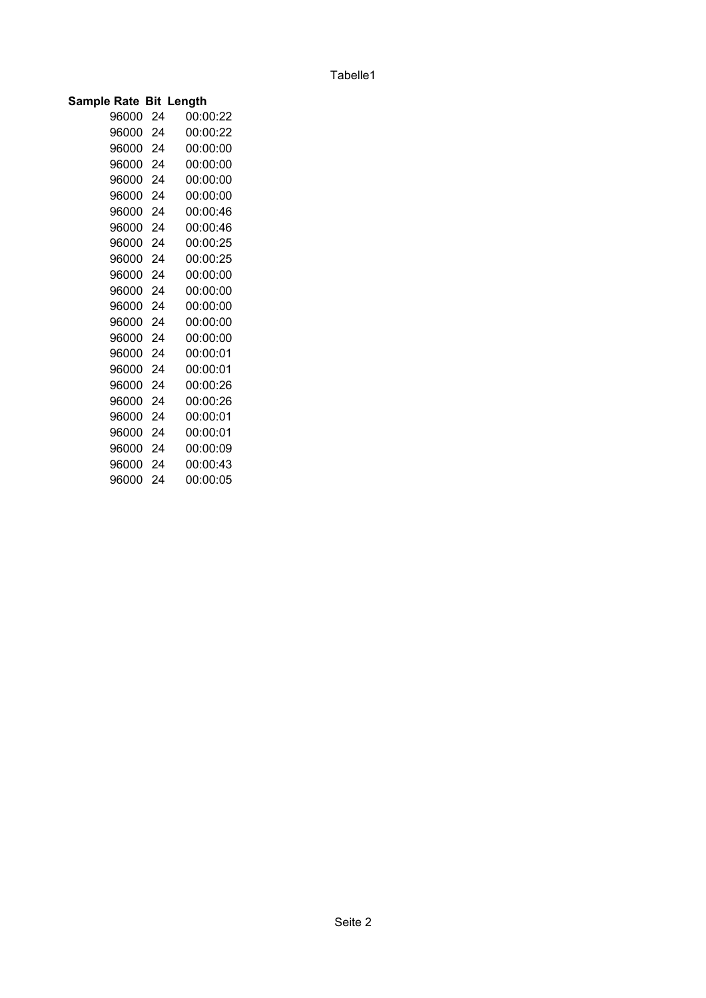| Sample Rate Bit Length |    |          |
|------------------------|----|----------|
| 96000                  | 24 | 00:00:22 |
| 96000                  | 24 | 00:00:22 |
| 96000                  | 24 | 00:00:00 |
| 96000                  | 24 | 00:00:00 |
| 96000                  | 24 | 00:00:00 |
| 96000                  | 24 | 00:00:00 |
| 96000                  | 24 | 00:00:46 |
| 96000                  | 24 | 00:00:46 |
| 96000                  | 24 | 00:00:25 |
| 96000                  | 24 | 00:00:25 |
| 96000                  | 24 | 00:00:00 |
| 96000                  | 24 | 00:00:00 |
| 96000                  | 24 | 00:00:00 |
| 96000                  | 24 | 00:00:00 |
| 96000                  | 24 | 00:00:00 |
| 96000                  | 24 | 00:00:01 |
| 96000                  | 24 | 00:00:01 |
| 96000                  | 24 | 00:00:26 |
| 96000                  | 24 | 00:00:26 |
| 96000                  | 24 | 00:00:01 |
| 96000                  | 24 | 00:00:01 |
| 96000                  | 24 | 00:00:09 |
| 96000                  | 24 | 00:00:43 |
| 96000                  | 24 | 00:00:05 |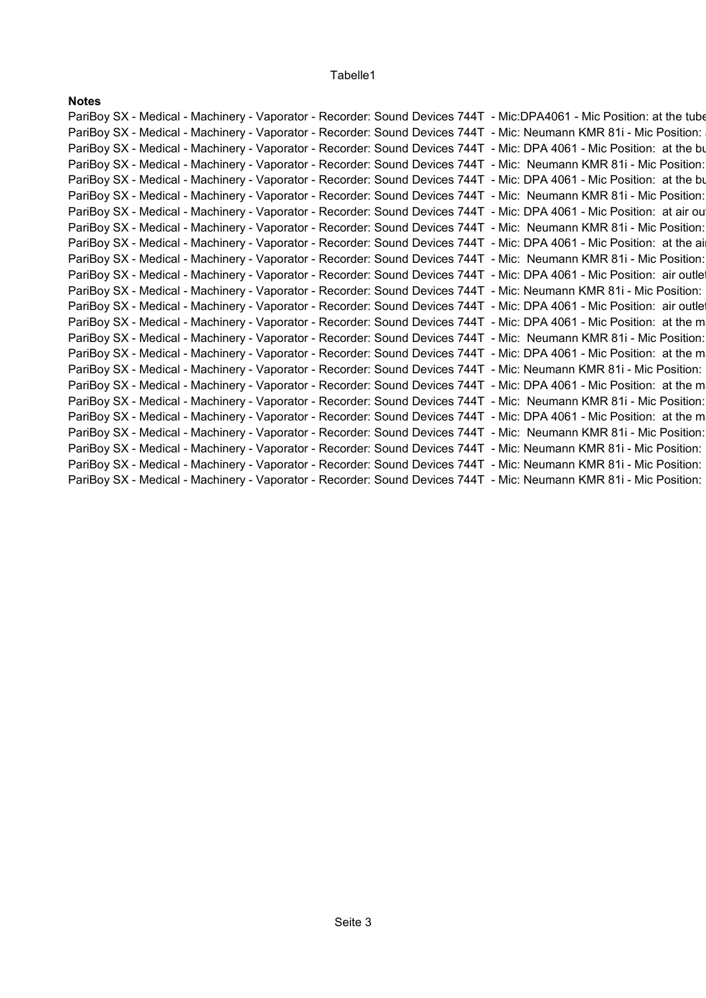| <b>Notes</b> |                                                                                                                        |  |
|--------------|------------------------------------------------------------------------------------------------------------------------|--|
|              | PariBoy SX - Medical - Machinery - Vaporator - Recorder: Sound Devices 744T - Mic:DPA4061 - Mic Position: at the tube  |  |
|              | PariBoy SX - Medical - Machinery - Vaporator - Recorder: Sound Devices 744T - Mic: Neumann KMR 81i - Mic Position:     |  |
|              | PariBoy SX - Medical - Machinery - Vaporator - Recorder: Sound Devices 744T - Mic: DPA 4061 - Mic Position: at the bu  |  |
|              | PariBoy SX - Medical - Machinery - Vaporator - Recorder: Sound Devices 744T - Mic: Neumann KMR 81i - Mic Position:     |  |
|              | PariBoy SX - Medical - Machinery - Vaporator - Recorder: Sound Devices 744T - Mic: DPA 4061 - Mic Position: at the bu  |  |
|              | PariBoy SX - Medical - Machinery - Vaporator - Recorder: Sound Devices 744T - Mic: Neumann KMR 81i - Mic Position:     |  |
|              | PariBoy SX - Medical - Machinery - Vaporator - Recorder: Sound Devices 744T - Mic: DPA 4061 - Mic Position: at air ou  |  |
|              | PariBoy SX - Medical - Machinery - Vaporator - Recorder: Sound Devices 744T - Mic: Neumann KMR 81i - Mic Position:     |  |
|              | PariBoy SX - Medical - Machinery - Vaporator - Recorder: Sound Devices 744T - Mic: DPA 4061 - Mic Position: at the ai  |  |
|              | PariBoy SX - Medical - Machinery - Vaporator - Recorder: Sound Devices 744T - Mic: Neumann KMR 81i - Mic Position:     |  |
|              | PariBoy SX - Medical - Machinery - Vaporator - Recorder: Sound Devices 744T - Mic: DPA 4061 - Mic Position: air outlet |  |
|              | PariBoy SX - Medical - Machinery - Vaporator - Recorder: Sound Devices 744T - Mic: Neumann KMR 81i - Mic Position:     |  |
|              | PariBoy SX - Medical - Machinery - Vaporator - Recorder: Sound Devices 744T - Mic: DPA 4061 - Mic Position: air outlet |  |
|              | PariBoy SX - Medical - Machinery - Vaporator - Recorder: Sound Devices 744T - Mic: DPA 4061 - Mic Position: at the m   |  |
|              | PariBoy SX - Medical - Machinery - Vaporator - Recorder: Sound Devices 744T - Mic: Neumann KMR 81i - Mic Position:     |  |
|              | PariBoy SX - Medical - Machinery - Vaporator - Recorder: Sound Devices 744T - Mic: DPA 4061 - Mic Position: at the m   |  |
|              | PariBoy SX - Medical - Machinery - Vaporator - Recorder: Sound Devices 744T - Mic: Neumann KMR 81i - Mic Position:     |  |
|              | PariBoy SX - Medical - Machinery - Vaporator - Recorder: Sound Devices 744T - Mic: DPA 4061 - Mic Position: at the m   |  |
|              | PariBoy SX - Medical - Machinery - Vaporator - Recorder: Sound Devices 744T - Mic: Neumann KMR 81i - Mic Position:     |  |
|              | PariBoy SX - Medical - Machinery - Vaporator - Recorder: Sound Devices 744T - Mic: DPA 4061 - Mic Position: at the m   |  |
|              | PariBoy SX - Medical - Machinery - Vaporator - Recorder: Sound Devices 744T - Mic: Neumann KMR 81i - Mic Position:     |  |
|              | PariBoy SX - Medical - Machinery - Vaporator - Recorder: Sound Devices 744T - Mic: Neumann KMR 81i - Mic Position:     |  |
|              | PariBoy SX - Medical - Machinery - Vaporator - Recorder: Sound Devices 744T - Mic: Neumann KMR 81i - Mic Position:     |  |
|              | PariBoy SX - Medical - Machinery - Vaporator - Recorder: Sound Devices 744T - Mic: Neumann KMR 81i - Mic Position:     |  |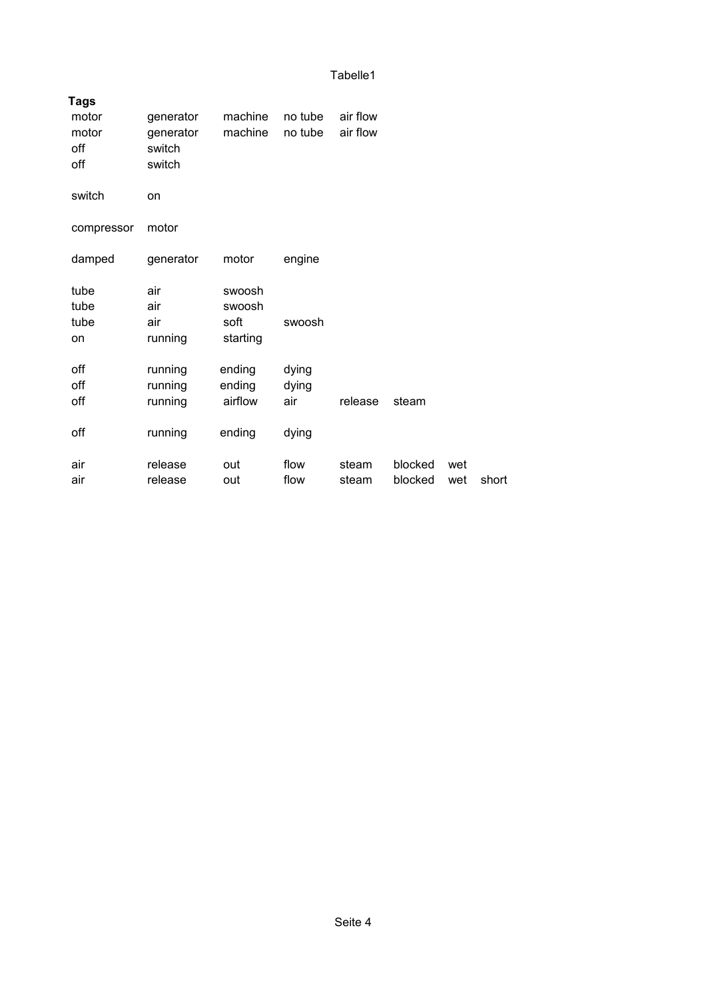| <b>Tags</b> |           |          |         |          |         |     |       |
|-------------|-----------|----------|---------|----------|---------|-----|-------|
| motor       | generator | machine  | no tube | air flow |         |     |       |
| motor       | generator | machine  | no tube | air flow |         |     |       |
| off         | switch    |          |         |          |         |     |       |
| off         | switch    |          |         |          |         |     |       |
| switch      | on        |          |         |          |         |     |       |
|             |           |          |         |          |         |     |       |
| compressor  | motor     |          |         |          |         |     |       |
|             |           |          |         |          |         |     |       |
| damped      | generator | motor    | engine  |          |         |     |       |
| tube        | air       | swoosh   |         |          |         |     |       |
| tube        | air       | swoosh   |         |          |         |     |       |
| tube        | air       | soft     | swoosh  |          |         |     |       |
| on          | running   | starting |         |          |         |     |       |
|             |           |          |         |          |         |     |       |
| off         | running   | ending   | dying   |          |         |     |       |
| off         | running   | ending   | dying   |          |         |     |       |
| off         | running   | airflow  | air     | release  | steam   |     |       |
|             |           |          |         |          |         |     |       |
| off         | running   | ending   | dying   |          |         |     |       |
| air         | release   | out      | flow    | steam    | blocked | wet |       |
| air         | release   | out      | flow    | steam    | blocked | wet | short |
|             |           |          |         |          |         |     |       |